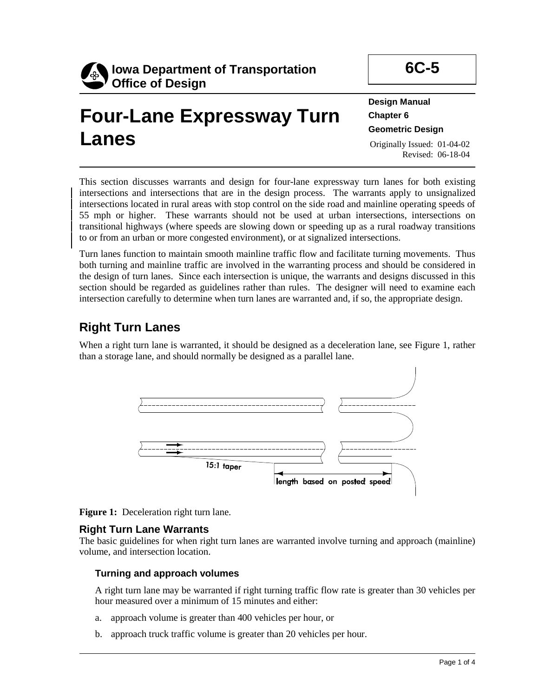

# **Four-Lane Expressway Turn Lanes**

**6C-5** 

**Design Manual Chapter 6 Geometric Design**  Originally Issued: 01-04-02

Revised: 06-18-04

This section discusses warrants and design for four-lane expressway turn lanes for both existing intersections and intersections that are in the design process. The warrants apply to unsignalized intersections located in rural areas with stop control on the side road and mainline operating speeds of 55 mph or higher. These warrants should not be used at urban intersections, intersections on transitional highways (where speeds are slowing down or speeding up as a rural roadway transitions to or from an urban or more congested environment), or at signalized intersections.

Turn lanes function to maintain smooth mainline traffic flow and facilitate turning movements. Thus both turning and mainline traffic are involved in the warranting process and should be considered in the design of turn lanes. Since each intersection is unique, the warrants and designs discussed in this section should be regarded as guidelines rather than rules. The designer will need to examine each intersection carefully to determine when turn lanes are warranted and, if so, the appropriate design.

# **Right Turn Lanes**

When a right turn lane is warranted, it should be designed as a deceleration lane, see Figure 1, rather than a storage lane, and should normally be designed as a parallel lane.



**Figure 1:** Deceleration right turn lane.

# **Right Turn Lane Warrants**

The basic guidelines for when right turn lanes are warranted involve turning and approach (mainline) volume, and intersection location.

# **Turning and approach volumes**

A right turn lane may be warranted if right turning traffic flow rate is greater than 30 vehicles per hour measured over a minimum of 15 minutes and either:

- a. approach volume is greater than 400 vehicles per hour, or
- b. approach truck traffic volume is greater than 20 vehicles per hour.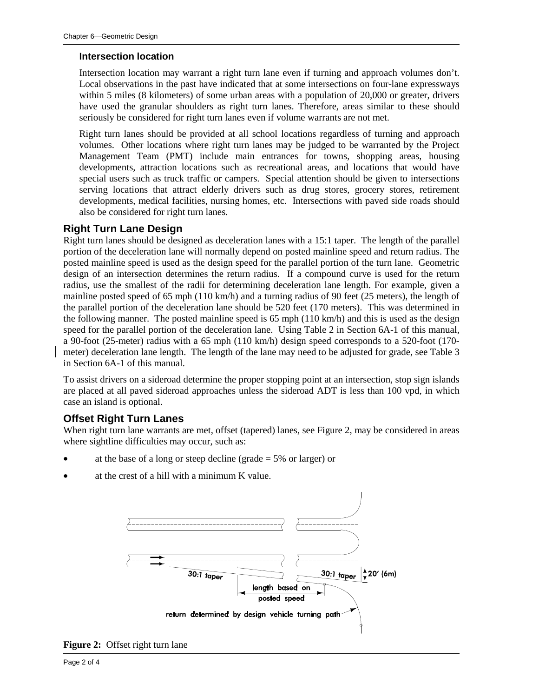#### **Intersection location**

Intersection location may warrant a right turn lane even if turning and approach volumes don't. Local observations in the past have indicated that at some intersections on four-lane expressways within 5 miles (8 kilometers) of some urban areas with a population of 20,000 or greater, drivers have used the granular shoulders as right turn lanes. Therefore, areas similar to these should seriously be considered for right turn lanes even if volume warrants are not met.

Right turn lanes should be provided at all school locations regardless of turning and approach volumes. Other locations where right turn lanes may be judged to be warranted by the Project Management Team (PMT) include main entrances for towns, shopping areas, housing developments, attraction locations such as recreational areas, and locations that would have special users such as truck traffic or campers. Special attention should be given to intersections serving locations that attract elderly drivers such as drug stores, grocery stores, retirement developments, medical facilities, nursing homes, etc. Intersections with paved side roads should also be considered for right turn lanes.

## **Right Turn Lane Design**

Right turn lanes should be designed as deceleration lanes with a 15:1 taper. The length of the parallel portion of the deceleration lane will normally depend on posted mainline speed and return radius. The posted mainline speed is used as the design speed for the parallel portion of the turn lane. Geometric design of an intersection determines the return radius. If a compound curve is used for the return radius, use the smallest of the radii for determining deceleration lane length. For example, given a mainline posted speed of 65 mph (110 km/h) and a turning radius of 90 feet (25 meters), the length of the parallel portion of the deceleration lane should be 520 feet (170 meters). This was determined in the following manner. The posted mainline speed is 65 mph (110 km/h) and this is used as the design speed for the parallel portion of the deceleration lane. Using Table 2 in Section 6A-1 of this manual, a 90-foot (25-meter) radius with a 65 mph (110 km/h) design speed corresponds to a 520-foot (170 meter) deceleration lane length. The length of the lane may need to be adjusted for grade, see Table 3 in Section 6A-1 of this manual.

To assist drivers on a sideroad determine the proper stopping point at an intersection, stop sign islands are placed at all paved sideroad approaches unless the sideroad ADT is less than 100 vpd, in which case an island is optional.

#### **Offset Right Turn Lanes**

When right turn lane warrants are met, offset (tapered) lanes, see Figure 2, may be considered in areas where sightline difficulties may occur, such as:

- at the base of a long or steep decline (grade  $= 5\%$  or larger) or
- at the crest of a hill with a minimum K value.



**Figure 2:** Offset right turn lane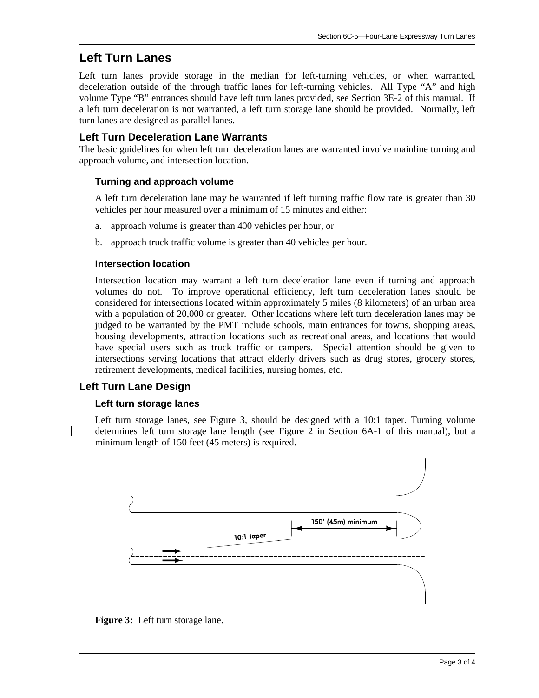# **Left Turn Lanes**

Left turn lanes provide storage in the median for left-turning vehicles, or when warranted, deceleration outside of the through traffic lanes for left-turning vehicles. All Type "A" and high volume Type "B" entrances should have left turn lanes provided, see Section 3E-2 of this manual. If a left turn deceleration is not warranted, a left turn storage lane should be provided. Normally, left turn lanes are designed as parallel lanes.

# **Left Turn Deceleration Lane Warrants**

The basic guidelines for when left turn deceleration lanes are warranted involve mainline turning and approach volume, and intersection location.

## **Turning and approach volume**

A left turn deceleration lane may be warranted if left turning traffic flow rate is greater than 30 vehicles per hour measured over a minimum of 15 minutes and either:

- a. approach volume is greater than 400 vehicles per hour, or
- b. approach truck traffic volume is greater than 40 vehicles per hour.

#### **Intersection location**

Intersection location may warrant a left turn deceleration lane even if turning and approach volumes do not. To improve operational efficiency, left turn deceleration lanes should be considered for intersections located within approximately 5 miles (8 kilometers) of an urban area with a population of 20,000 or greater. Other locations where left turn deceleration lanes may be judged to be warranted by the PMT include schools, main entrances for towns, shopping areas, housing developments, attraction locations such as recreational areas, and locations that would have special users such as truck traffic or campers. Special attention should be given to intersections serving locations that attract elderly drivers such as drug stores, grocery stores, retirement developments, medical facilities, nursing homes, etc.

# **Left Turn Lane Design**

#### **Left turn storage lanes**

Left turn storage lanes, see Figure 3, should be designed with a 10:1 taper. Turning volume determines left turn storage lane length (see Figure 2 in Section 6A-1 of this manual), but a minimum length of 150 feet (45 meters) is required.